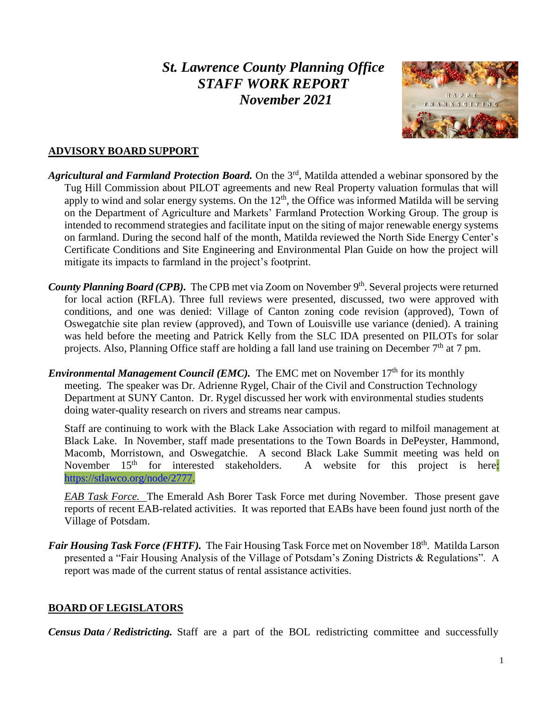# *St. Lawrence County Planning Office STAFF WORK REPORT November 2021*



# **ADVISORY BOARD SUPPORT**

- *Agricultural and Farmland Protection Board.* On the 3rd, Matilda attended a webinar sponsored by the Tug Hill Commission about PILOT agreements and new Real Property valuation formulas that will apply to wind and solar energy systems. On the  $12<sup>th</sup>$ , the Office was informed Matilda will be serving on the Department of Agriculture and Markets' Farmland Protection Working Group. The group is intended to recommend strategies and facilitate input on the siting of major renewable energy systems on farmland. During the second half of the month, Matilda reviewed the North Side Energy Center's Certificate Conditions and Site Engineering and Environmental Plan Guide on how the project will mitigate its impacts to farmland in the project's footprint.
- County Planning Board (CPB). The CPB met via Zoom on November 9<sup>th</sup>. Several projects were returned for local action (RFLA). Three full reviews were presented, discussed, two were approved with conditions, and one was denied: Village of Canton zoning code revision (approved), Town of Oswegatchie site plan review (approved), and Town of Louisville use variance (denied). A training was held before the meeting and Patrick Kelly from the SLC IDA presented on PILOTs for solar projects. Also, Planning Office staff are holding a fall land use training on December 7<sup>th</sup> at 7 pm.
- *Environmental Management Council (EMC).* The EMC met on November 17<sup>th</sup> for its monthly meeting. The speaker was Dr. Adrienne Rygel, Chair of the Civil and Construction Technology Department at SUNY Canton. Dr. Rygel discussed her work with environmental studies students doing water-quality research on rivers and streams near campus.

Staff are continuing to work with the Black Lake Association with regard to milfoil management at Black Lake. In November, staff made presentations to the Town Boards in DePeyster, Hammond, Macomb, Morristown, and Oswegatchie. A second Black Lake Summit meeting was held on November  $15<sup>th</sup>$  for interested stakeholders. A website for this project is here: [https://stlawco.org/node/2777.](https://stlawco.org/node/2777)

*EAB Task Force.* The Emerald Ash Borer Task Force met during November. Those present gave reports of recent EAB-related activities. It was reported that EABs have been found just north of the Village of Potsdam.

Fair Housing Task Force (FHTF). The Fair Housing Task Force met on November 18<sup>th</sup>. Matilda Larson presented a "Fair Housing Analysis of the Village of Potsdam's Zoning Districts & Regulations". A report was made of the current status of rental assistance activities.

# **BOARD OF LEGISLATORS**

*Census Data / Redistricting.* Staff are a part of the BOL redistricting committee and successfully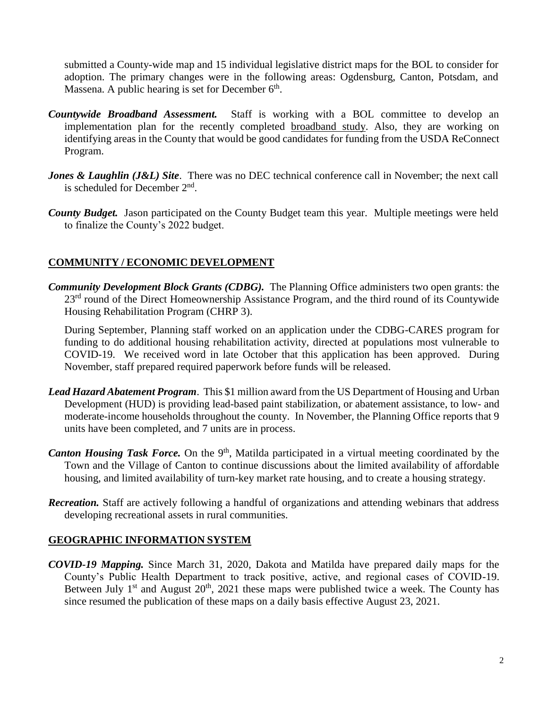submitted a County-wide map and 15 individual legislative district maps for the BOL to consider for adoption. The primary changes were in the following areas: Ogdensburg, Canton, Potsdam, and Massena. A public hearing is set for December  $6<sup>th</sup>$ .

- *Countywide Broadband Assessment.* Staff is working with a BOL committee to develop an implementation plan for the recently completed [broadband study.](https://stlawco.org/Broadband-Study) Also, they are working on identifying areas in the County that would be good candidates for funding from the USDA ReConnect Program.
- *Jones & Laughlin (J&L) Site.* There was no DEC technical conference call in November; the next call is scheduled for December  $2<sup>nd</sup>$ .
- *County Budget.* Jason participated on the County Budget team this year. Multiple meetings were held to finalize the County's 2022 budget.

# **COMMUNITY / ECONOMIC DEVELOPMENT**

*Community Development Block Grants (CDBG).* The Planning Office administers two open grants: the 23<sup>rd</sup> round of the Direct Homeownership Assistance Program, and the third round of its Countywide Housing Rehabilitation Program (CHRP 3).

During September, Planning staff worked on an application under the CDBG-CARES program for funding to do additional housing rehabilitation activity, directed at populations most vulnerable to COVID-19. We received word in late October that this application has been approved. During November, staff prepared required paperwork before funds will be released.

- *Lead Hazard Abatement Program*. This \$1 million award from the US Department of Housing and Urban Development (HUD) is providing lead-based paint stabilization, or abatement assistance, to low- and moderate-income households throughout the county. In November, the Planning Office reports that 9 units have been completed, and 7 units are in process.
- Canton Housing Task Force. On the 9<sup>th</sup>, Matilda participated in a virtual meeting coordinated by the Town and the Village of Canton to continue discussions about the limited availability of affordable housing, and limited availability of turn-key market rate housing, and to create a housing strategy.
- *Recreation.* Staff are actively following a handful of organizations and attending webinars that address developing recreational assets in rural communities.

#### **GEOGRAPHIC INFORMATION SYSTEM**

*COVID-19 Mapping.* Since March 31, 2020, Dakota and Matilda have prepared daily maps for the County's Public Health Department to track positive, active, and regional cases of COVID-19. Between July  $1<sup>st</sup>$  and August  $20<sup>th</sup>$ ,  $2021$  these maps were published twice a week. The County has since resumed the publication of these maps on a daily basis effective August 23, 2021.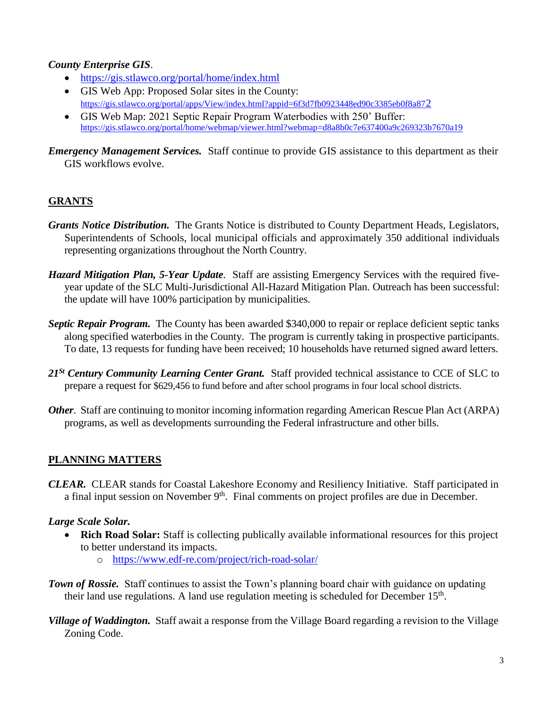#### *County Enterprise GIS*.

- <https://gis.stlawco.org/portal/home/index.html>
- GIS Web App: Proposed Solar sites in the County: [https://gis.stlawco.org/portal/apps/View/index.html?appid=6f3d7fb0923448ed90c3385eb0f8a87](https://gis.stlawco.org/portal/apps/View/index.html?appid=6f3d7fb0923448ed90c3385eb0f8a872)2
- GIS Web Map: 2021 Septic Repair Program Waterbodies with 250' Buffer: <https://gis.stlawco.org/portal/home/webmap/viewer.html?webmap=d8a8b0c7e637400a9c269323b7670a19>

*Emergency Management Services.* Staff continue to provide GIS assistance to this department as their GIS workflows evolve.

# **GRANTS**

- *Grants Notice Distribution.* The Grants Notice is distributed to County Department Heads, Legislators, Superintendents of Schools, local municipal officials and approximately 350 additional individuals representing organizations throughout the North Country.
- *Hazard Mitigation Plan, 5-Year Update*. Staff are assisting Emergency Services with the required fiveyear update of the SLC Multi-Jurisdictional All-Hazard Mitigation Plan. Outreach has been successful: the update will have 100% participation by municipalities.
- *Septic Repair Program.* The County has been awarded \$340,000 to repair or replace deficient septic tanks along specified waterbodies in the County. The program is currently taking in prospective participants. To date, 13 requests for funding have been received; 10 households have returned signed award letters.
- *21St Century Community Learning Center Grant.* Staff provided technical assistance to CCE of SLC to prepare a request for \$629,456 to fund before and after school programs in four local school districts.
- *Other.* Staff are continuing to monitor incoming information regarding American Rescue Plan Act (ARPA) programs, as well as developments surrounding the Federal infrastructure and other bills.

# **PLANNING MATTERS**

*CLEAR.* CLEAR stands for Coastal Lakeshore Economy and Resiliency Initiative. Staff participated in a final input session on November  $9<sup>th</sup>$ . Final comments on project profiles are due in December.

# *Large Scale Solar.*

- **Rich Road Solar:** Staff is collecting publically available informational resources for this project to better understand its impacts.
	- o <https://www.edf-re.com/project/rich-road-solar/>

**Town of Rossie.** Staff continues to assist the Town's planning board chair with guidance on updating their land use regulations. A land use regulation meeting is scheduled for December  $15<sup>th</sup>$ .

*Village of Waddington.* Staff await a response from the Village Board regarding a revision to the Village Zoning Code.